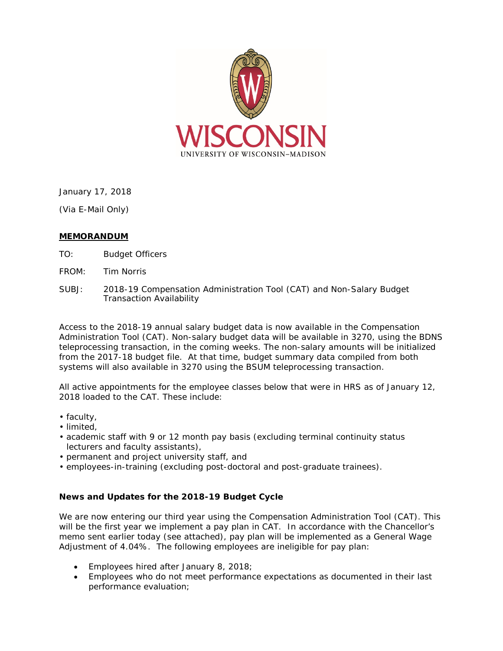

January 17, 2018

(Via E-Mail Only)

## **MEMORANDUM**

- TO: Budget Officers
- FROM: Tim Norris
- SUBJ: 2018-19 Compensation Administration Tool (CAT) and Non-Salary Budget Transaction Availability

Access to the 2018-19 annual salary budget data is now available in the Compensation Administration Tool (CAT). Non-salary budget data will be available in 3270, using the BDNS teleprocessing transaction, in the coming weeks. The non-salary amounts will be initialized from the 2017-18 budget file. At that time, budget summary data compiled from both systems will also available in 3270 using the BSUM teleprocessing transaction.

All active appointments for the employee classes below that were in HRS as of January 12, 2018 loaded to the CAT. These include:

- faculty,
- limited,
- academic staff with 9 or 12 month pay basis (excluding terminal continuity status lecturers and faculty assistants),
- permanent and project university staff, and
- employees-in-training (excluding post-doctoral and post-graduate trainees).

# **News and Updates for the 2018-19 Budget Cycle**

We are now entering our third year using the Compensation Administration Tool (CAT). This will be the first year we implement a pay plan in CAT. In accordance with the Chancellor's memo sent earlier today (see attached), pay plan will be implemented as a General Wage Adjustment of 4.04%. The following employees are ineligible for pay plan:

- Employees hired after January 8, 2018;
- Employees who do not meet performance expectations as documented in their last performance evaluation;